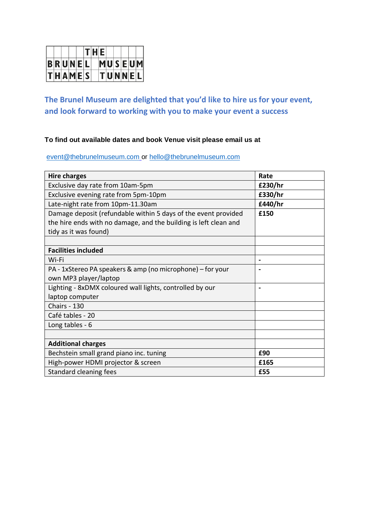|               |  |  | T H E |               |  |  |
|---------------|--|--|-------|---------------|--|--|
| <b>BRUNEL</b> |  |  |       | MUSEUM        |  |  |
| T H A M E S   |  |  |       | <b>TUNNEL</b> |  |  |

# **The Brunel Museum are delighted that you'd like to hire us for your event, and look forward to working with you to make your event a success**

# **To find out available dates and book Venue visit please email us at**

[event@thebrunelmuseum.com](mailto:event@thebrunelmuseum.com) or [hello@thebrunelmuseum.com](mailto:hello@thebrunelmuseum.com)

| <b>Hire charges</b>                                              | Rate           |
|------------------------------------------------------------------|----------------|
| Exclusive day rate from 10am-5pm                                 | £230/hr        |
| Exclusive evening rate from 5pm-10pm                             | £330/hr        |
| Late-night rate from 10pm-11.30am                                | £440/hr        |
| Damage deposit (refundable within 5 days of the event provided   | £150           |
| the hire ends with no damage, and the building is left clean and |                |
| tidy as it was found)                                            |                |
|                                                                  |                |
| <b>Facilities included</b>                                       |                |
| Wi-Fi                                                            |                |
| PA - 1xStereo PA speakers & amp (no microphone) – for your       |                |
| own MP3 player/laptop                                            |                |
| Lighting - 8xDMX coloured wall lights, controlled by our         | $\blacksquare$ |
| laptop computer                                                  |                |
| Chairs - 130                                                     |                |
| Café tables - 20                                                 |                |
| Long tables - 6                                                  |                |
|                                                                  |                |
| <b>Additional charges</b>                                        |                |
| Bechstein small grand piano inc. tuning                          | £90            |
| High-power HDMI projector & screen                               | £165           |
| <b>Standard cleaning fees</b>                                    | £55            |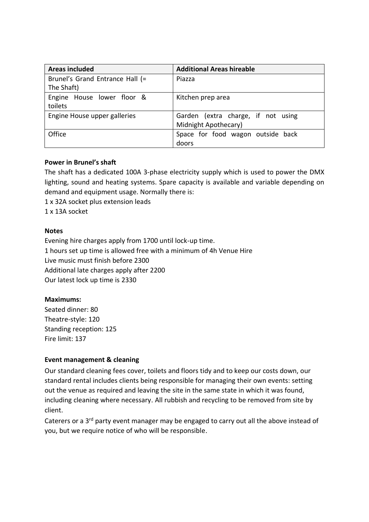| Areas included                  | <b>Additional Areas hireable</b>   |  |  |  |  |
|---------------------------------|------------------------------------|--|--|--|--|
| Brunel's Grand Entrance Hall (= | Piazza                             |  |  |  |  |
| The Shaft)                      |                                    |  |  |  |  |
| Engine House lower floor &      | Kitchen prep area                  |  |  |  |  |
| toilets                         |                                    |  |  |  |  |
| Engine House upper galleries    | Garden (extra charge, if not using |  |  |  |  |
|                                 | Midnight Apothecary)               |  |  |  |  |
| Office                          | Space for food wagon outside back  |  |  |  |  |
|                                 | doors                              |  |  |  |  |

### **Power in Brunel's shaft**

The shaft has a dedicated 100A 3-phase electricity supply which is used to power the DMX lighting, sound and heating systems. Spare capacity is available and variable depending on demand and equipment usage. Normally there is:

1 x 32A socket plus extension leads

1 x 13A socket

### **Notes**

Evening hire charges apply from 1700 until lock-up time. 1 hours set up time is allowed free with a minimum of 4h Venue Hire Live music must finish before 2300 Additional late charges apply after 2200 Our latest lock up time is 2330

# **Maximums:**

Seated dinner: 80 Theatre-style: 120 Standing reception: 125 Fire limit: 137

# **Event management & cleaning**

Our standard cleaning fees cover, toilets and floors tidy and to keep our costs down, our standard rental includes clients being responsible for managing their own events: setting out the venue as required and leaving the site in the same state in which it was found, including cleaning where necessary. All rubbish and recycling to be removed from site by client.

Caterers or a 3<sup>rd</sup> party event manager may be engaged to carry out all the above instead of you, but we require notice of who will be responsible.